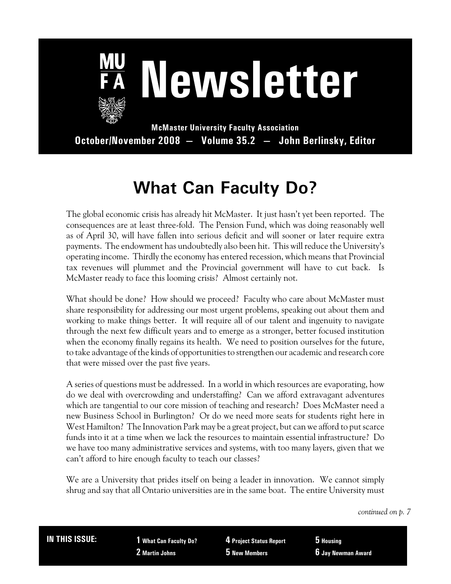

# **Newsletter**

**McMaster University Faculty Association October/November 2008 — Volume 35.2 — John Berlinsky, Editor**

## **What Can Faculty Do?**

The global economic crisis has already hit McMaster. It just hasn't yet been reported. The consequences are at least three-fold. The Pension Fund, which was doing reasonably well as of April 30, will have fallen into serious deficit and will sooner or later require extra payments. The endowment has undoubtedly also been hit. This will reduce the University's operating income. Thirdly the economy has entered recession, which means that Provincial tax revenues will plummet and the Provincial government will have to cut back. Is McMaster ready to face this looming crisis? Almost certainly not.

What should be done? How should we proceed? Faculty who care about McMaster must share responsibility for addressing our most urgent problems, speaking out about them and working to make things better. It will require all of our talent and ingenuity to navigate through the next few difficult years and to emerge as a stronger, better focused institution when the economy finally regains its health. We need to position ourselves for the future, to take advantage of the kinds of opportunities to strengthen our academic and research core that were missed over the past five years.

A series of questions must be addressed. In a world in which resources are evaporating, how do we deal with overcrowding and understaffing? Can we afford extravagant adventures which are tangential to our core mission of teaching and research? Does McMaster need a new Business School in Burlington? Or do we need more seats for students right here in West Hamilton? The Innovation Park may be a great project, but can we afford to put scarce funds into it at a time when we lack the resources to maintain essential infrastructure? Do we have too many administrative services and systems, with too many layers, given that we can't afford to hire enough faculty to teach our classes?

We are a University that prides itself on being a leader in innovation. We cannot simply shrug and say that all Ontario universities are in the same boat. The entire University must

*continued on p. 7*

**IN THIS ISSUE: 1 What Can Faculty Do? 2 Martin Johns**

**4 Project Status Report 5 New Members**

**5 Housing 6 Jay Newman Award**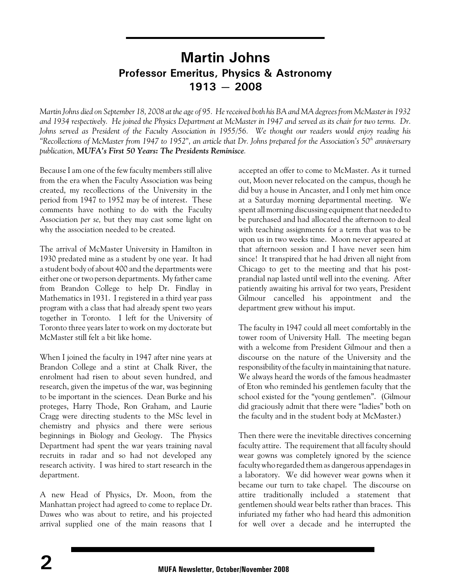### **Martin Johns Professor Emeritus, Physics & Astronomy 1913 — 2008**

*Martin Johns died on September 18, 2008 at the age of 95. Hereceived both his BA and MA degrees from McMaster in 1932 and 1934 respectively. He joined the Physics Department at McMaster in 1947 and served as its chair for two terms. Dr. Johns served as President of the Faculty Association in 1955/56. We thought our readers would enjoy reading his* "Recollections of McMaster from 1947 to 1952", an article that Dr. Johns prepared for the Association's 50<sup>th</sup> anniversary *publication, MUFA's First 50 Years: The Presidents Reminisce.*

Because I am one of the few faculty members still alive from the era when the Faculty Association was being created, my recollections of the University in the period from 1947 to 1952 may be of interest. These comments have nothing to do with the Faculty Association *per se,* but they may cast some light on why the association needed to be created.

The arrival of McMaster University in Hamilton in 1930 predated mine as a student by one year. It had a student body of about 400 and the departments were either one or two person departments. My father came from Brandon College to help Dr. Findlay in Mathematics in 1931. I registered in a third year pass program with a class that had already spent two years together in Toronto. I left for the University of Toronto three years later to work on my doctorate but McMaster still felt a bit like home.

When I joined the faculty in 1947 after nine years at Brandon College and a stint at Chalk River, the enrolment had risen to about seven hundred, and research, given the impetus of the war, was beginning to be important in the sciences. Dean Burke and his proteges, Harry Thode, Ron Graham, and Laurie Cragg were directing students to the MSc level in chemistry and physics and there were serious beginnings in Biology and Geology. The Physics Department had spent the war years training naval recruits in radar and so had not developed any research activity. I was hired to start research in the department.

A new Head of Physics, Dr. Moon, from the Manhattan project had agreed to come to replace Dr. Dawes who was about to retire, and his projected arrival supplied one of the main reasons that I accepted an offer to come to McMaster. As it turned out, Moon never relocated on the campus, though he did buy a house in Ancaster, and I only met him once at a Saturday morning departmental meeting. We spent all morning discussing equipment that needed to be purchased and had allocated the afternoon to deal with teaching assignments for a term that was to be upon us in two weeks time. Moon never appeared at that afternoon session and I have never seen him since! It transpired that he had driven all night from Chicago to get to the meeting and that his postprandial nap lasted until well into the evening. After patiently awaiting his arrival for two years, President Gilmour cancelled his appointment and the department grew without his imput.

The faculty in 1947 could all meet comfortably in the tower room of University Hall. The meeting began with a welcome from President Gilmour and then a discourse on the nature of the University and the responsibility of the faculty in maintaining that nature. We always heard the words of the famous headmaster of Eton who reminded his gentlemen faculty that the school existed for the "young gentlemen". (Gilmour did graciously admit that there were "ladies" both on the faculty and in the student body at McMaster.)

Then there were the inevitable directives concerning faculty attire. The requirement that all faculty should wear gowns was completely ignored by the science faculty who regarded themas dangerous appendages in a laboratory. We did however wear gowns when it became our turn to take chapel. The discourse on attire traditionally included a statement that gentlemen should wear belts rather than braces. This infuriated my father who had heard this admonition for well over a decade and he interrupted the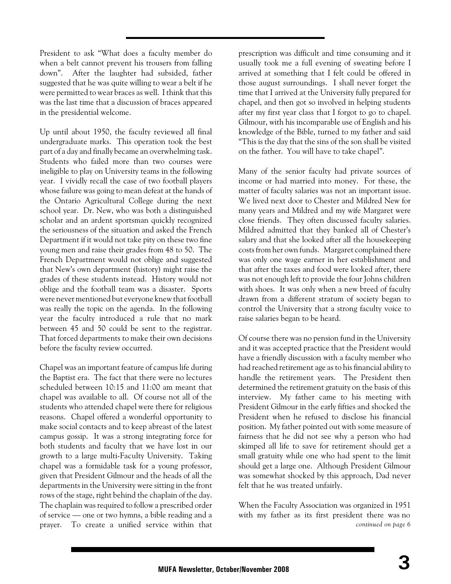President to ask "What does a faculty member do when a belt cannot prevent his trousers from falling down". After the laughter had subsided, father suggested that he was quite willing to wear a belt if he were permitted to wear braces as well. I think that this was the last time that a discussion of braces appeared in the presidential welcome.

Up until about 1950, the faculty reviewed all final undergraduate marks. This operation took the best part of a day and finally became an overwhelming task. Students who failed more than two courses were ineligible to play on University teams in the following year. I vividly recall the case of two football players whose failure was going to mean defeat at the hands of the Ontario Agricultural College during the next school year. Dr. New, who was both a distinguished scholar and an ardent sportsman quickly recognized the seriousness of the situation and asked the French Department if it would not take pity on these two fine young men and raise their grades from 48 to 50. The French Department would not oblige and suggested that New's own department (history) might raise the grades of these students instead. History would not oblige and the football team was a disaster. Sports were never mentioned but everyone knew that football was really the topic on the agenda. In the following year the faculty introduced a rule that no mark between 45 and 50 could be sent to the registrar. That forced departments to make their own decisions before the faculty review occurred.

Chapel was an important feature of campus life during the Baptist era. The fact that there were no lectures scheduled between 10:15 and 11:00 am meant that chapel was available to all. Of course not all of the students who attended chapel were there for religious reasons. Chapel offered a wonderful opportunity to make social contacts and to keep abreast of the latest campus gossip. It was a strong integrating force for both students and faculty that we have lost in our growth to a large multi-Faculty University. Taking chapel was a formidable task for a young professor, given that President Gilmour and the heads of all the departments in the University were sitting in the front rows of the stage, right behind the chaplain of the day. The chaplain was required to follow a prescribed order of service — one or two hymns, a bible reading and a prayer. To create a unified service within that

prescription was difficult and time consuming and it usually took me a full evening of sweating before I arrived at something that I felt could be offered in those august surroundings. I shall never forget the time that I arrived at the University fully prepared for chapel, and then got so involved in helping students after my first year class that I forgot to go to chapel. Gilmour, with his incomparable use of English and his knowledge of the Bible, turned to my father and said "This is the day that the sins of the son shall be visited on the father. You will have to take chapel".

Many of the senior faculty had private sources of income or had married into money. For these, the matter of faculty salaries was not an important issue. We lived next door to Chester and Mildred New for many years and Mildred and my wife Margaret were close friends. They often discussed faculty salaries. Mildred admitted that they banked all of Chester's salary and that she looked after all the housekeeping costs from her own funds. Margaret complained there was only one wage earner in her establishment and that after the taxes and food were looked after, there was not enough left to provide the four Johns children with shoes. It was only when a new breed of faculty drawn from a different stratum of society began to control the University that a strong faculty voice to raise salaries began to be heard.

Of course there was no pension fund in the University and it was accepted practice that the President would have a friendly discussion with a faculty member who had reached retirement age as to his financial ability to handle the retirement years. The President then determined the retirement gratuity on the basis of this interview. My father came to his meeting with President Gilmour in the early fifties and shocked the President when he refused to disclose his financial position. My father pointed out with some measure of fairness that he did not see why a person who had skimped all life to save for retirement should get a small gratuity while one who had spent to the limit should get a large one. Although President Gilmour was somewhat shocked by this approach, Dad never felt that he was treated unfairly.

When the Faculty Association was organized in 1951 with my father as its first president there was no *continued on page 6*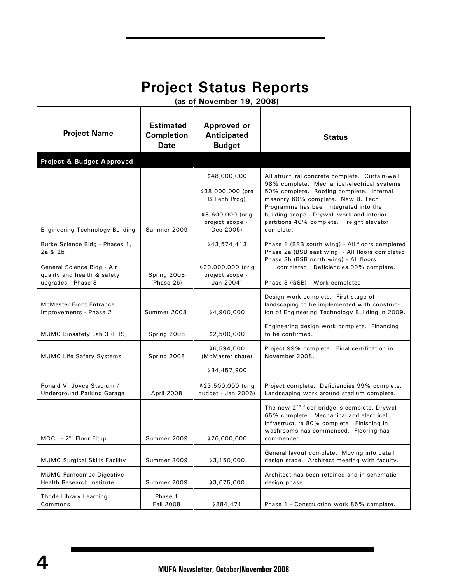## **Project Status Reports**

 **(as of November 19, 2008)**

| <b>Project Name</b>                                                                                                          | <b>Estimated</b><br><b>Completion</b><br><b>Date</b> | <b>Approved or</b><br><b>Anticipated</b><br><b>Budget</b>                                              | <b>Status</b>                                                                                                                                                                                                                                                                                                                   |
|------------------------------------------------------------------------------------------------------------------------------|------------------------------------------------------|--------------------------------------------------------------------------------------------------------|---------------------------------------------------------------------------------------------------------------------------------------------------------------------------------------------------------------------------------------------------------------------------------------------------------------------------------|
| Project & Budget Approved                                                                                                    |                                                      |                                                                                                        |                                                                                                                                                                                                                                                                                                                                 |
| <b>Engineering Technology Building</b>                                                                                       | Summer 2009                                          | \$48,000,000<br>\$38,000,000 (pre<br>B Tech Prog)<br>\$8,600,000 (orig<br>project scope -<br>Dec 2005) | All structural concrete complete. Curtain-wall<br>98% complete. Mechanical/electrical systems<br>50% complete. Roofing complete. Internal<br>masonry 60% complete. New B. Tech<br>Programme has been integrated into the<br>building scope. Drywall work and interior<br>partitions 40% complete. Freight elevator<br>complete. |
| Burke Science Bldg - Phases 1,<br>2a & 2b<br>General Science Bldg - Air<br>quality and health & safety<br>upgrades - Phase 3 | Spring 2008<br>(Phase 2b)                            | \$43,574,413<br>\$30,000,000 (orig<br>project scope -<br>Jan 2004)                                     | Phase 1 (BSB south wing) - All floors completed<br>Phase 2a (BSB east wing) - All floors completed<br>Phase 2b (BSB north wing) - All floors<br>completed. Deficiencies 99% complete.<br>Phase 3 (GSB) - Work completed                                                                                                         |
| <b>McMaster Front Entrance</b><br>Improvements - Phase 2                                                                     | Summer 2008                                          | \$4,900,000                                                                                            | Design work complete. First stage of<br>landscaping to be implemented with construc-<br>ion of Engineering Technology Building in 2009.                                                                                                                                                                                         |
| MUMC Biosafety Lab 3 (FHS)                                                                                                   | Spring 2008                                          | \$2,500,000                                                                                            | Engineering design work complete. Financing<br>to be confirmed.                                                                                                                                                                                                                                                                 |
| <b>MUMC Life Safety Systems</b>                                                                                              | Spring 2008                                          | \$6,594,000<br>(McMaster share)                                                                        | Project 99% complete. Final certification in<br>November 2008.                                                                                                                                                                                                                                                                  |
|                                                                                                                              |                                                      | \$34,457,900                                                                                           |                                                                                                                                                                                                                                                                                                                                 |
| Ronald V. Joyce Stadium /<br><b>Underground Parking Garage</b>                                                               | April 2008                                           | \$23,500,000 (orig<br>budget - Jan 2006)                                                               | Project complete. Deficiencies 99% complete.<br>Landscaping work around stadium complete.                                                                                                                                                                                                                                       |
| MDCL - 2 <sup>nd</sup> Floor Fitup                                                                                           | Summer 2009                                          | \$26,000,000                                                                                           | The new 2 <sup>nd</sup> floor bridge is complete. Drywall<br>65% complete. Mechanical and electrical<br>infrastructure 80% complete. Finishing in<br>washrooms has commenced. Flooring has<br>commenced.                                                                                                                        |
| <b>MUMC Surgical Skills Facility</b>                                                                                         | Summer 2009                                          | \$3,150,000                                                                                            | General layout complete. Moving into detail<br>design stage. Architect meeting with faculty.                                                                                                                                                                                                                                    |
| <b>MUMC Farncombe Digestive</b><br><b>Health Research Institute</b>                                                          | Summer 2009                                          | \$3,675,000                                                                                            | Architect has been retained and in schematic<br>design phase.                                                                                                                                                                                                                                                                   |
| Thode Library Learning<br>Commons                                                                                            | Phase 1<br><b>Fall 2008</b>                          | \$884,471                                                                                              | Phase 1 - Construction work 85% complete.                                                                                                                                                                                                                                                                                       |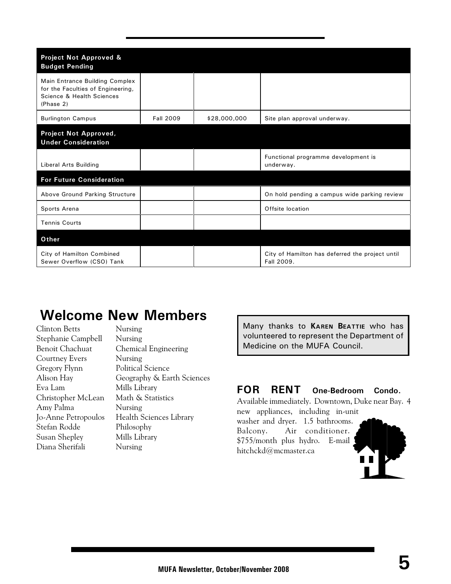| <b>Project Not Approved &amp;</b><br><b>Budget Pending</b>                                                    |                  |              |                                                               |
|---------------------------------------------------------------------------------------------------------------|------------------|--------------|---------------------------------------------------------------|
| Main Entrance Building Complex<br>for the Faculties of Engineering,<br>Science & Health Sciences<br>(Phase 2) |                  |              |                                                               |
| <b>Burlington Campus</b>                                                                                      | <b>Fall 2009</b> | \$28,000,000 | Site plan approval underway.                                  |
| Project Not Approved,<br><b>Under Consideration</b>                                                           |                  |              |                                                               |
| Liberal Arts Building                                                                                         |                  |              | Functional programme development is<br>underway.              |
| <b>For Future Consideration</b>                                                                               |                  |              |                                                               |
| Above Ground Parking Structure                                                                                |                  |              | On hold pending a campus wide parking review                  |
| Sports Arena                                                                                                  |                  |              | Offsite location                                              |
| <b>Tennis Courts</b>                                                                                          |                  |              |                                                               |
| Other                                                                                                         |                  |              |                                                               |
| City of Hamilton Combined<br>Sewer Overflow (CSO) Tank                                                        |                  |              | City of Hamilton has deferred the project until<br>Fall 2009. |

## **Welcome New Members**

| <b>Clinton Betts</b>  | Nursing                        |
|-----------------------|--------------------------------|
| Stephanie Campbell    | Nursing                        |
| Benoit Chachuat       | <b>Chemical Engineering</b>    |
| <b>Courtney Evers</b> | Nursing                        |
| Gregory Flynn         | Political Science              |
| Alison Hay            | Geography & Earth Sciences     |
| Eva Lam               | Mills Library                  |
| Christopher McLean    | Math & Statistics              |
| Amy Palma             | Nursing                        |
| Jo-Anne Petropoulos   | <b>Health Sciences Library</b> |
| Stefan Rodde          | Philosophy                     |
| Susan Shepley         | Mills Library                  |
| Diana Sherifali       | Nursing                        |
|                       |                                |

Many thanks to **KAREN BEATTIE** who has volunteered to represent the Department of Medicine on the MUFA Council.

#### **FOR RENT One-Bedroom Condo.**

Available immediately. Downtown, Duke near Bay. 4 new appliances, including in-unit

washer and dryer. 1.5 bathrooms. Balcony. Air conditioner. \$755/month plus hydro. E-mail hitchckd@mcmaster.ca

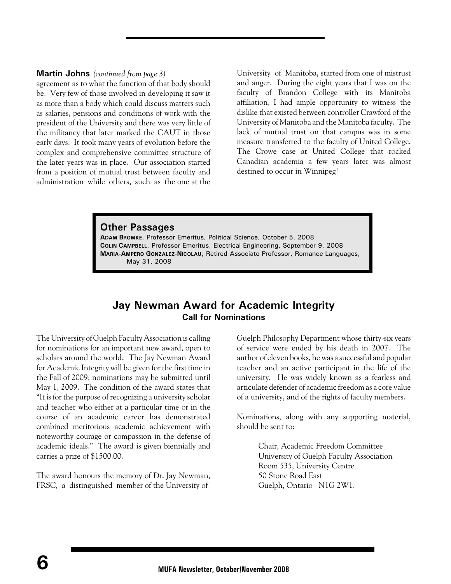#### **Martin Johns** *(continued from page 3)*

agreement as to what the function of that body should be. Very few of those involved in developing it saw it as more than a body which could discuss matters such as salaries, pensions and conditions of work with the president of the University and there was very little of the militancy that later marked the CAUT in those early days. It took many years of evolution before the complex and comprehensive committee structure of the later years was in place. Our association started from a position of mutual trust between faculty and administration while others, such as the one at the

University of Manitoba, started from one of mistrust and anger. During the eight years that I was on the faculty of Brandon College with its Manitoba affiliation, I had ample opportunity to witness the dislike that existed between controller Crawford of the University of Manitoba and the Manitoba faculty. The lack of mutual trust on that campus was in some measure transferred to the faculty of United College. The Crowe case at United College that rocked Canadian academia a few years later was almost destined to occur in Winnipeg!

#### **Other Passages**

**ADAM BROMKE**, Professor Emeritus, Political Science, October 5, 2008 **COLIN CAMPBELL**, Professor Emeritus, Electrical Engineering, September 9, 2008 **MARIA-AMPERO GONZALEZ-NICOLAU**, Retired Associate Professor, Romance Languages, May 31, 2008

#### **Jay Newman Award for Academic Integrity Call for Nominations**

The University ofGuelph Faculty Association is calling for nominations for an important new award, open to scholars around the world. The Jay Newman Award for Academic Integrity will be given for the first time in the Fall of 2009; nominations may be submitted until May 1, 2009. The condition of the award states that "It is for the purpose of recognizing a university scholar and teacher who either at a particular time or in the course of an academic career has demonstrated combined meritorious academic achievement with noteworthy courage or compassion in the defense of academic ideals." The award is given biennially and carries a prize of \$1500.00.

The award honours the memory of Dr. Jay Newman, FRSC, a distinguished member of the University of

Guelph Philosophy Department whose thirty-six years of service were ended by his death in 2007. The author of eleven books, he was a successful and popular teacher and an active participant in the life of the university. He was widely known as a fearless and articulate defender of academic freedom as a core value of a university, and of the rights of faculty members.

Nominations, along with any supporting material, should be sent to:

> Chair, Academic Freedom Committee University of Guelph Faculty Association Room 535, University Centre 50 Stone Road East Guelph, Ontario N1G 2W1.